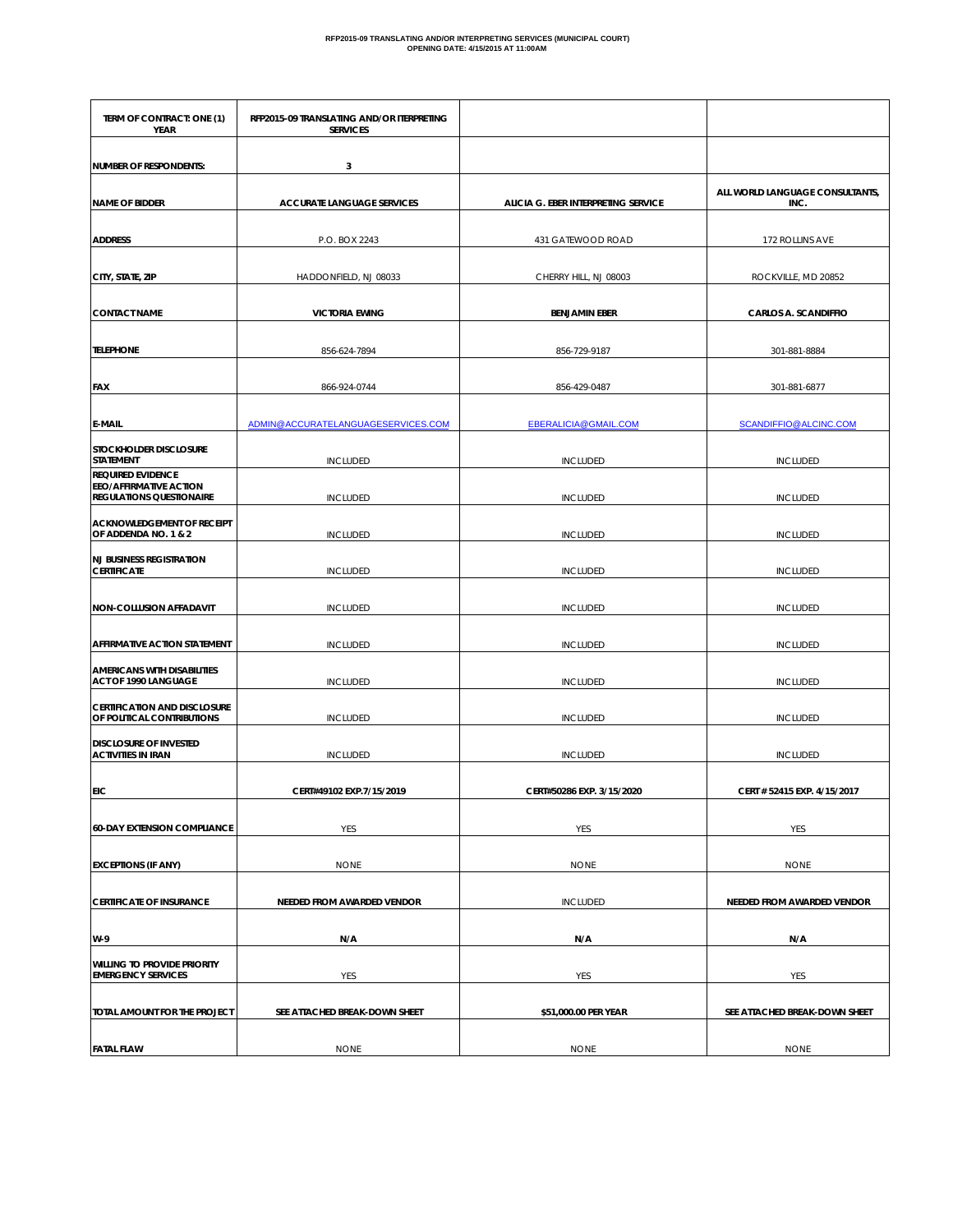| TERM OF CONTRACT: ONE (1)<br>YEAR                                                            | RFP2015-09 TRANSLATING AND/OR ITERPRETING<br><b>SERVICES</b> |                                     |                                         |
|----------------------------------------------------------------------------------------------|--------------------------------------------------------------|-------------------------------------|-----------------------------------------|
| <b>NUMBER OF RESPONDENTS:</b>                                                                | 3                                                            |                                     |                                         |
| <b>NAME OF BIDDER</b>                                                                        | <b>ACCURATE LANGUAGE SERVICES</b>                            | ALICIA G. EBER INTERPRETING SERVICE | ALL WORLD LANGUAGE CONSULTANTS,<br>INC. |
| <b>ADDRESS</b>                                                                               | P.O. BOX 2243                                                | 431 GATEWOOD ROAD                   | 172 ROLLINS AVE                         |
| CITY, STATE, ZIP                                                                             | HADDONFIELD, NJ 08033                                        | CHERRY HILL, NJ 08003               | ROCKVILLE, MD 20852                     |
| <b>CONTACT NAME</b>                                                                          | <b>VICTORIA EWING</b>                                        | <b>BENJAMIN EBER</b>                | <b>CARLOS A. SCANDIFFIO</b>             |
| <b>TELEPHONE</b>                                                                             | 856-624-7894                                                 | 856-729-9187                        | 301-881-8884                            |
| <b>FAX</b>                                                                                   | 866-924-0744                                                 | 856-429-0487                        | 301-881-6877                            |
| <b>E-MAIL</b>                                                                                | ADMIN@ACCURATELANGUAGESERVICES.COM                           | <b>EBERALICIA@GMAIL.COM</b>         | SCANDIFFIO@ALCINC.COM                   |
| STOCKHOLDER DISCLOSURE<br><b>STATEMENT</b>                                                   | <b>INCLUDED</b>                                              | <b>INCLUDED</b>                     | <b>INCLUDED</b>                         |
| <b>REQUIRED EVIDENCE</b><br><b>EEO/AFFIRMATIVE ACTION</b><br><b>REGULATIONS QUESTIONAIRE</b> | <b>INCLUDED</b>                                              | <b>INCLUDED</b>                     | <b>INCLUDED</b>                         |
| ACKNOWLEDGEMENT OF RECEIPT<br>OF ADDENDA NO. 1 & 2                                           | <b>INCLUDED</b>                                              | <b>INCLUDED</b>                     | <b>INCLUDED</b>                         |
| <b>NJ BUSINESS REGISTRATION</b><br><b>CERTIFICATE</b>                                        | <b>INCLUDED</b>                                              | <b>INCLUDED</b>                     | <b>INCLUDED</b>                         |
| NON-COLLUSION AFFADAVIT                                                                      | <b>INCLUDED</b>                                              | <b>INCLUDED</b>                     | <b>INCLUDED</b>                         |
| <b>AFFIRMATIVE ACTION STATEMENT</b>                                                          | <b>INCLUDED</b>                                              | <b>INCLUDED</b>                     | <b>INCLUDED</b>                         |
| <b>AMERICANS WITH DISABILITIES</b><br>ACT OF 1990 LANGUAGE                                   | <b>INCLUDED</b>                                              | <b>INCLUDED</b>                     | <b>INCLUDED</b>                         |
| <b>CERTIFICATION AND DISCLOSURE</b><br>OF POLITICAL CONTRIBUTIONS                            | <b>INCLUDED</b>                                              | <b>INCLUDED</b>                     | <b>INCLUDED</b>                         |
| <b>DISCLOSURE OF INVESTED</b><br><b>ACTIVITIES IN IRAN</b>                                   | <b>INCLUDED</b>                                              | <b>INCLUDED</b>                     | <b>INCLUDED</b>                         |
| EIC                                                                                          | CERT#49102 EXP.7/15/2019                                     | CERT#50286 EXP. 3/15/2020           | CERT # 52415 EXP. 4/15/2017             |
| <b>60-DAY EXTENSION COMPLIANCE</b>                                                           | YES                                                          | YES                                 | YES                                     |
| <b>EXCEPTIONS (IF ANY)</b>                                                                   | <b>NONE</b>                                                  | <b>NONE</b>                         | <b>NONE</b>                             |
| <b>CERTIFICATE OF INSURANCE</b>                                                              | NEEDED FROM AWARDED VENDOR                                   | <b>INCLUDED</b>                     | NEEDED FROM AWARDED VENDOR              |
| W-9                                                                                          | N/A                                                          | N/A                                 | N/A                                     |
| <b>WILLING TO PROVIDE PRIORITY</b><br><b>EMERGENCY SERVICES</b>                              | YES                                                          | YES                                 | YES                                     |
| TOTAL AMOUNT FOR THE PROJECT                                                                 | SEE ATTACHED BREAK-DOWN SHEET                                | \$51,000.00 PER YEAR                | SEE ATTACHED BREAK-DOWN SHEET           |
| <b>FATAL FLAW</b>                                                                            | <b>NONE</b>                                                  | <b>NONE</b>                         | <b>NONE</b>                             |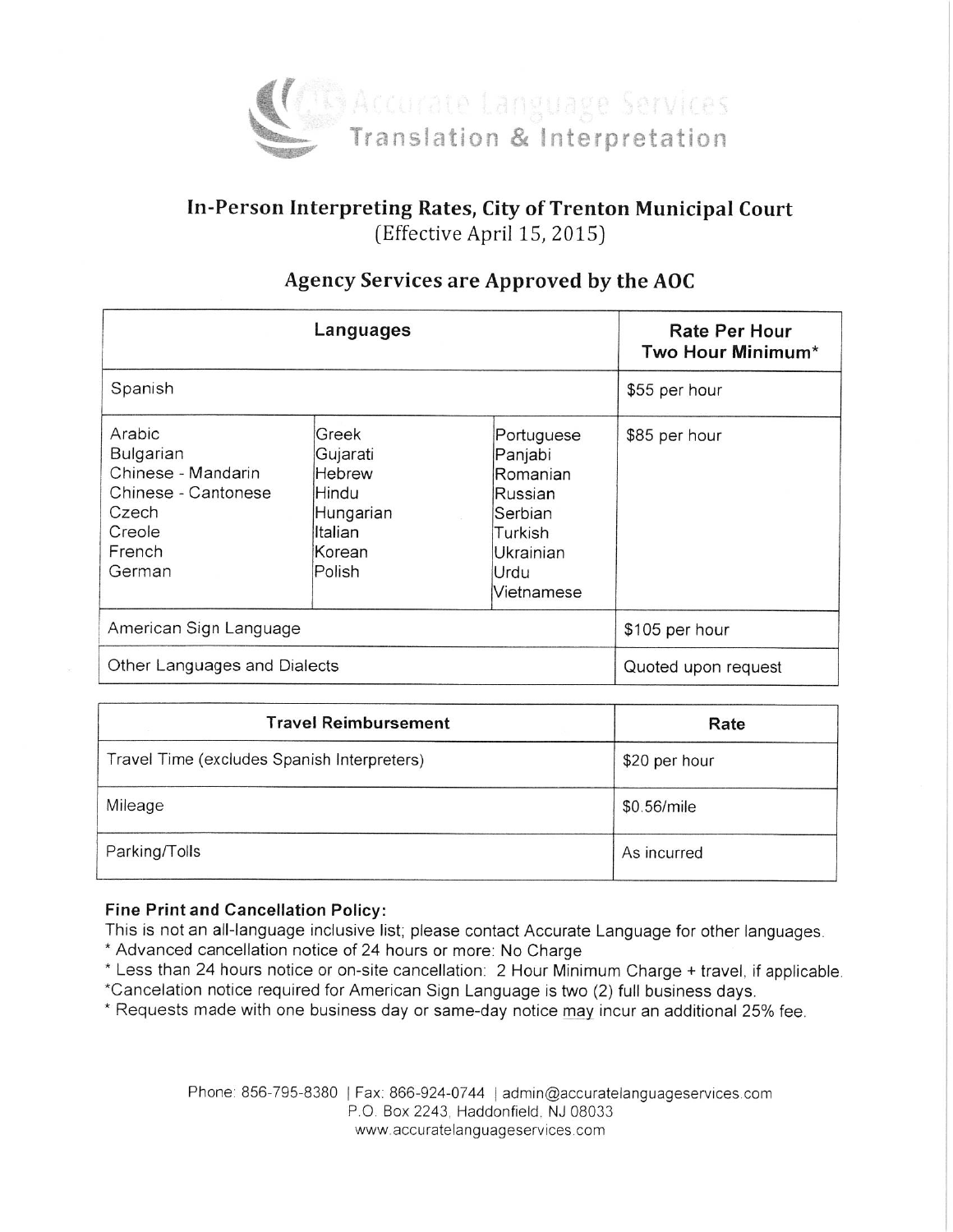

# In-Person Interpreting Rates, City of Trenton Municipal Court (Effective April 15, 2015)

| Languages                                                                                               |                                                                                           |                                                                                                       | Rate Per Hour<br>Two Hour Minimum* |
|---------------------------------------------------------------------------------------------------------|-------------------------------------------------------------------------------------------|-------------------------------------------------------------------------------------------------------|------------------------------------|
| Spanish                                                                                                 |                                                                                           |                                                                                                       | \$55 per hour                      |
| Arabic<br>Bulgarian<br>Chinese - Mandarin<br>Chinese - Cantonese<br>Czech<br>Creole<br>French<br>German | Greek<br>Gujarati<br><b>Hebrew</b><br>Hindu<br>Hungarian<br>Iltalian<br>lKorean<br>Polish | Portuguese<br>Panjabi<br>Romanian<br>Russian<br>Serbian<br>Turkish<br>Ukrainian<br>Urdu<br>Vietnamese | \$85 per hour                      |
| American Sign Language                                                                                  |                                                                                           |                                                                                                       | \$105 per hour                     |
| Other Languages and Dialects                                                                            |                                                                                           |                                                                                                       | Quoted upon request                |

## Agency Services are Approved by the AOC

| <b>Travel Reimbursement</b>                 | Rate          |
|---------------------------------------------|---------------|
| Travel Time (excludes Spanish Interpreters) | \$20 per hour |
| Mileage                                     | \$0.56/mile   |
| Parking/Tolls                               | As incurred   |

#### **Fine Print and Cancellation Policy:**

This is not an all-language inclusive list; please contact Accurate Language for other languages.

- \* Advanced cancellation notice of 24 hours or more: No Charge
- \* Less than 24 hours notice or on-site cancellation: 2 Hour Minimum Charge + travel, if applicable. \*Cancelation notice required for American Sign Language is two (2) full business days.
- \* Requests made with one business day or same-day notice may incur an additional 25% fee.

Phone: 856-795-8380 | Fax: 866-924-0744 | admin@accuratelanguageservices.com P.O. Box 2243, Haddonfield, NJ 08033 www.accuratelanguageservices.com